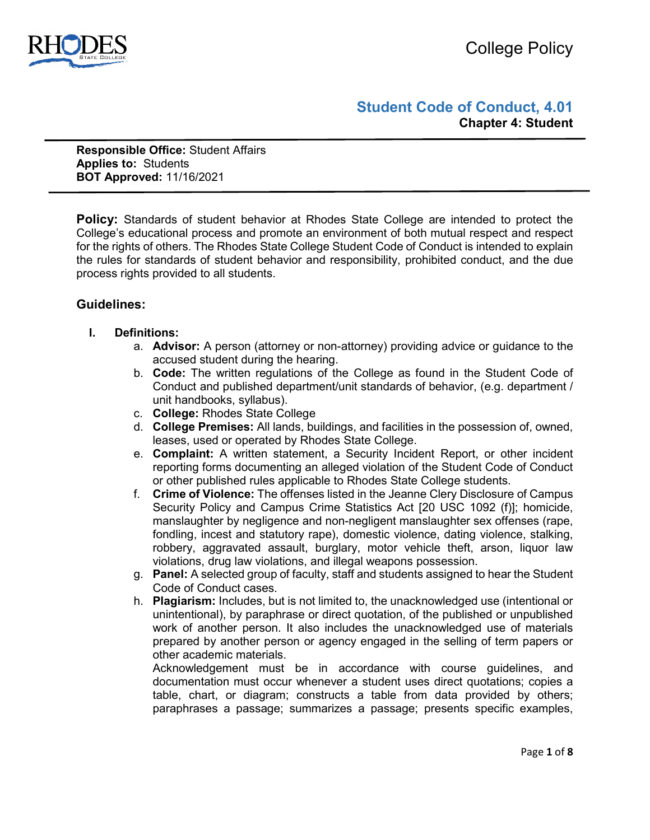# **Student Code of Conduct, 4.01 Chapter 4: Student**

**Responsible Office:** Student Affairs **Applies to:** Students **BOT Approved:** 11/16/2021

**Policy:** Standards of student behavior at Rhodes State College are intended to protect the College's educational process and promote an environment of both mutual respect and respect for the rights of others. The Rhodes State College Student Code of Conduct is intended to explain the rules for standards of student behavior and responsibility, prohibited conduct, and the due process rights provided to all students.

## **Guidelines:**

## **I. Definitions:**

- a. **Advisor:** A person (attorney or non-attorney) providing advice or guidance to the accused student during the hearing.
- b. **Code:** The written regulations of the College as found in the Student Code of Conduct and published department/unit standards of behavior, (e.g. department / unit handbooks, syllabus).
- c. **College:** Rhodes State College
- d. **College Premises:** All lands, buildings, and facilities in the possession of, owned, leases, used or operated by Rhodes State College.
- e. **Complaint:** A written statement, a Security Incident Report, or other incident reporting forms documenting an alleged violation of the Student Code of Conduct or other published rules applicable to Rhodes State College students.
- f. **Crime of Violence:** The offenses listed in the Jeanne Clery Disclosure of Campus Security Policy and Campus Crime Statistics Act [20 USC 1092 (f)]; homicide, manslaughter by negligence and non-negligent manslaughter sex offenses (rape, fondling, incest and statutory rape), domestic violence, dating violence, stalking, robbery, aggravated assault, burglary, motor vehicle theft, arson, liquor law violations, drug law violations, and illegal weapons possession.
- g. **Panel:** A selected group of faculty, staff and students assigned to hear the Student Code of Conduct cases.
- h. **Plagiarism:** Includes, but is not limited to, the unacknowledged use (intentional or unintentional), by paraphrase or direct quotation, of the published or unpublished work of another person. It also includes the unacknowledged use of materials prepared by another person or agency engaged in the selling of term papers or other academic materials.

Acknowledgement must be in accordance with course guidelines, and documentation must occur whenever a student uses direct quotations; copies a table, chart, or diagram; constructs a table from data provided by others; paraphrases a passage; summarizes a passage; presents specific examples,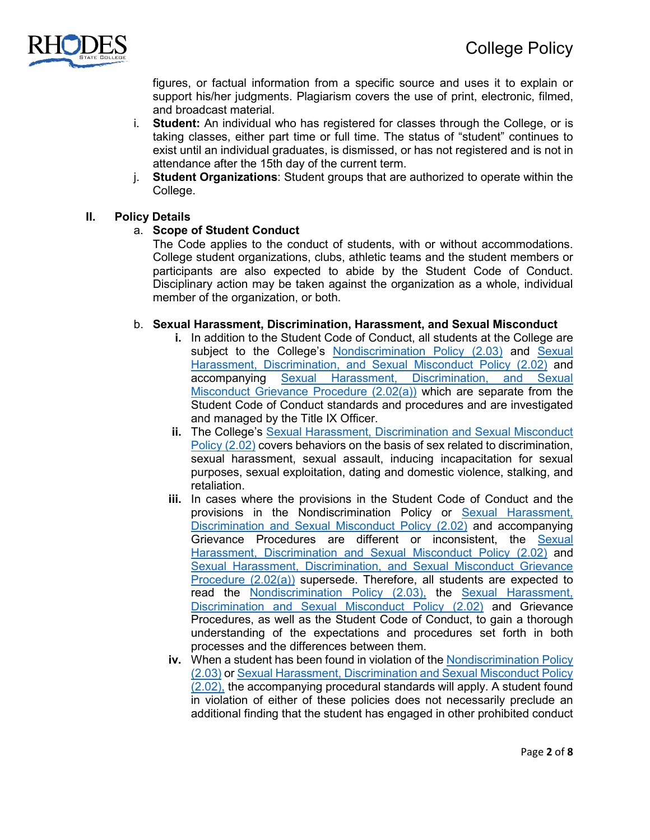

figures, or factual information from a specific source and uses it to explain or support his/her judgments. Plagiarism covers the use of print, electronic, filmed, and broadcast material.

- i. **Student:** An individual who has registered for classes through the College, or is taking classes, either part time or full time. The status of "student" continues to exist until an individual graduates, is dismissed, or has not registered and is not in attendance after the 15th day of the current term.
- j. **Student Organizations**: Student groups that are authorized to operate within the College.

## **II. Policy Details**

## a. **Scope of Student Conduct**

The Code applies to the conduct of students, with or without accommodations. College student organizations, clubs, athletic teams and the student members or participants are also expected to abide by the Student Code of Conduct. Disciplinary action may be taken against the organization as a whole, individual member of the organization, or both.

## b. **Sexual Harassment, Discrimination, Harassment, and Sexual Misconduct**

- **i.** In addition to the Student Code of Conduct, all students at the College are subject to the College's [Nondiscrimination Policy](https://www.rhodesstate.edu/_files/documents/policies-and-procedures/nondiscrimination-policy.pdf) (2.03) and [Sexual](https://www.rhodesstate.edu/_files/documents/policies-and-procedures/sexual-harassment,-discrimination-and-sexual-misconduct-policy.pdf)  Harassment, Discrimination, [and Sexual Misconduct Policy \(2.02\)](https://www.rhodesstate.edu/_files/documents/policies-and-procedures/sexual-harassment,-discrimination-and-sexual-misconduct-policy.pdf) and accompanying [Sexual Harassment, Discrimination, and Sexual](https://www.rhodesstate.edu/_files/documents/policies-and-procedures/sexual-harassment,-discrimination-and-sexual-misconduct-grievance-resolution-procedure.pdf)  [Misconduct Grievance Procedure \(2.02\(a\)\)](https://www.rhodesstate.edu/_files/documents/policies-and-procedures/sexual-harassment,-discrimination-and-sexual-misconduct-grievance-resolution-procedure.pdf) which are separate from the Student Code of Conduct standards and procedures and are investigated and managed by the Title IX Officer.
- **ii.** The College's Sexual Harassment, Discrimination and Sexual Misconduct [Policy](https://www.rhodesstate.edu/_files/documents/policies-and-procedures/sexual-harassment,-discrimination-and-sexual-misconduct-policy.pdf) (2.02) covers behaviors on the basis of sex related to discrimination, sexual harassment, sexual assault, inducing incapacitation for sexual purposes, sexual exploitation, dating and domestic violence, stalking, and retaliation.
- **iii.** In cases where the provisions in the Student Code of Conduct and the provisions in the Nondiscrimination Policy or Sexual Harassment, [Discrimination and Sexual Misconduct Policy](https://www.rhodesstate.edu/_files/documents/policies-and-procedures/sexual-harassment,-discrimination-and-sexual-misconduct-policy.pdf) (2.02) and accompanying Grievance Procedures are different or inconsistent, the [Sexual](https://www.rhodesstate.edu/_files/documents/policies-and-procedures/sexual-harassment,-discrimination-and-sexual-misconduct-policy.pdf)  [Harassment, Discrimination and Sexual Misconduct Policy](https://www.rhodesstate.edu/_files/documents/policies-and-procedures/sexual-harassment,-discrimination-and-sexual-misconduct-policy.pdf) (2.02) and [Sexual Harassment, Discrimination, and Sexual Misconduct Grievance](https://www.rhodesstate.edu/_files/documents/policies-and-procedures/sexual-harassment,-discrimination-and-sexual-misconduct-grievance-resolution-procedure.pdf)  [Procedure \(2.02\(a\)\)](https://www.rhodesstate.edu/_files/documents/policies-and-procedures/sexual-harassment,-discrimination-and-sexual-misconduct-grievance-resolution-procedure.pdf) supersede. Therefore, all students are expected to read the [Nondiscrimination Policy](https://www.rhodesstate.edu/_files/documents/policies-and-procedures/nondiscrimination-policy.pdf) (2.03), the [Sexual Harassment,](https://www.rhodesstate.edu/_files/documents/policies-and-procedures/sexual-harassment,-discrimination-and-sexual-misconduct-policy.pdf)  [Discrimination and Sexual Misconduct Policy](https://www.rhodesstate.edu/_files/documents/policies-and-procedures/sexual-harassment,-discrimination-and-sexual-misconduct-policy.pdf) (2.02) and Grievance Procedures, as well as the Student Code of Conduct, to gain a thorough understanding of the expectations and procedures set forth in both processes and the differences between them.
- **iv.** When a student has been found in violation of th[e Nondiscrimination Policy](https://www.rhodesstate.edu/_files/documents/policies-and-procedures/nondiscrimination-policy.pdf) [\(2.03\)](https://www.rhodesstate.edu/_files/documents/policies-and-procedures/nondiscrimination-policy.pdf) or [Sexual Harassment, Discrimination and Sexual Misconduct Policy](https://www.rhodesstate.edu/_files/documents/policies-and-procedures/sexual-harassment,-discrimination-and-sexual-misconduct-policy.pdf) [\(2.02\),](https://www.rhodesstate.edu/_files/documents/policies-and-procedures/sexual-harassment,-discrimination-and-sexual-misconduct-policy.pdf) the accompanying procedural standards will apply. A student found in violation of either of these policies does not necessarily preclude an additional finding that the student has engaged in other prohibited conduct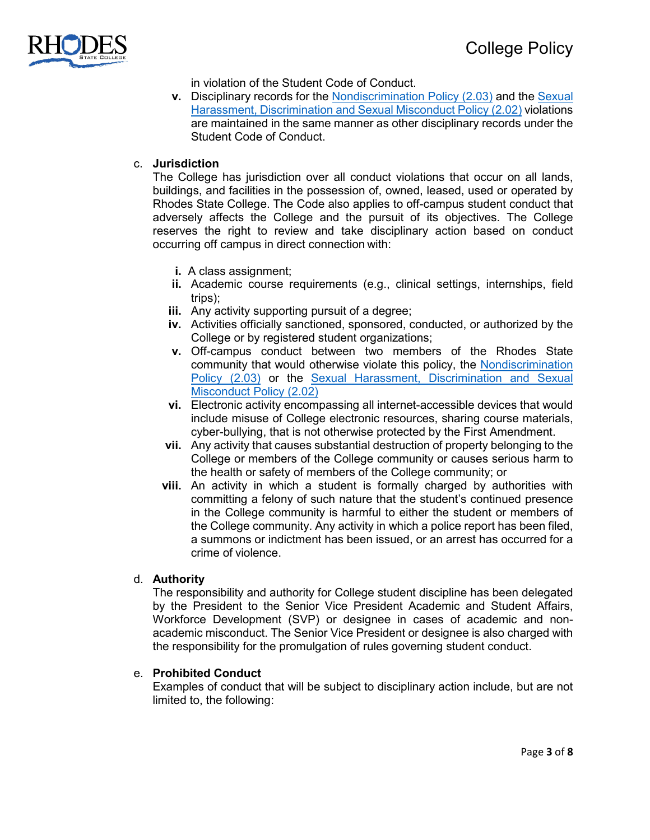

in violation of the Student Code of Conduct.

**v.** Disciplinary records for the [Nondiscrimination](https://www.rhodesstate.edu/_files/documents/policies-and-procedures/nondiscrimination-policy.pdf) Policy (2.03) and the [Sexual](https://www.rhodesstate.edu/_files/documents/policies-and-procedures/sexual-harassment,-discrimination-and-sexual-misconduct-policy.pdf)  [Harassment, Discrimination and Sexual Misconduct Policy](https://www.rhodesstate.edu/_files/documents/policies-and-procedures/sexual-harassment,-discrimination-and-sexual-misconduct-policy.pdf) (2.02) violations are maintained in the same manner as other disciplinary records under the Student Code of Conduct.

## c. **Jurisdiction**

The College has jurisdiction over all conduct violations that occur on all lands, buildings, and facilities in the possession of, owned, leased, used or operated by Rhodes State College. The Code also applies to off-campus student conduct that adversely affects the College and the pursuit of its objectives. The College reserves the right to review and take disciplinary action based on conduct occurring off campus in direct connection with:

- **i.** A class assignment;
- **ii.** Academic course requirements (e.g., clinical settings, internships, field trips);
- **iii.** Any activity supporting pursuit of a degree;
- **iv.** Activities officially sanctioned, sponsored, conducted, or authorized by the College or by registered student organizations;
- **v.** Off-campus conduct between two members of the Rhodes State community that would otherwise violate this policy, the [Nondiscrimination](https://www.rhodesstate.edu/_files/documents/policies-and-procedures/nondiscrimination-policy.pdf)  [Policy](https://www.rhodesstate.edu/_files/documents/policies-and-procedures/nondiscrimination-policy.pdf) (2.03) or the [Sexual Harassment, Discrimination and Sexual](https://www.rhodesstate.edu/_files/documents/policies-and-procedures/sexual-harassment,-discrimination-and-sexual-misconduct-policy.pdf)  [Misconduct Policy](https://www.rhodesstate.edu/_files/documents/policies-and-procedures/sexual-harassment,-discrimination-and-sexual-misconduct-policy.pdf) (2.02)
- **vi.** Electronic activity encompassing all internet-accessible devices that would include misuse of College electronic resources, sharing course materials, cyber-bullying, that is not otherwise protected by the First Amendment.
- **vii.** Any activity that causes substantial destruction of property belonging to the College or members of the College community or causes serious harm to the health or safety of members of the College community; or
- **viii.** An activity in which a student is formally charged by authorities with committing a felony of such nature that the student's continued presence in the College community is harmful to either the student or members of the College community. Any activity in which a police report has been filed, a summons or indictment has been issued, or an arrest has occurred for a crime of violence.

## d. **Authority**

The responsibility and authority for College student discipline has been delegated by the President to the Senior Vice President Academic and Student Affairs, Workforce Development (SVP) or designee in cases of academic and nonacademic misconduct. The Senior Vice President or designee is also charged with the responsibility for the promulgation of rules governing student conduct.

## e. **Prohibited Conduct**

Examples of conduct that will be subject to disciplinary action include, but are not limited to, the following: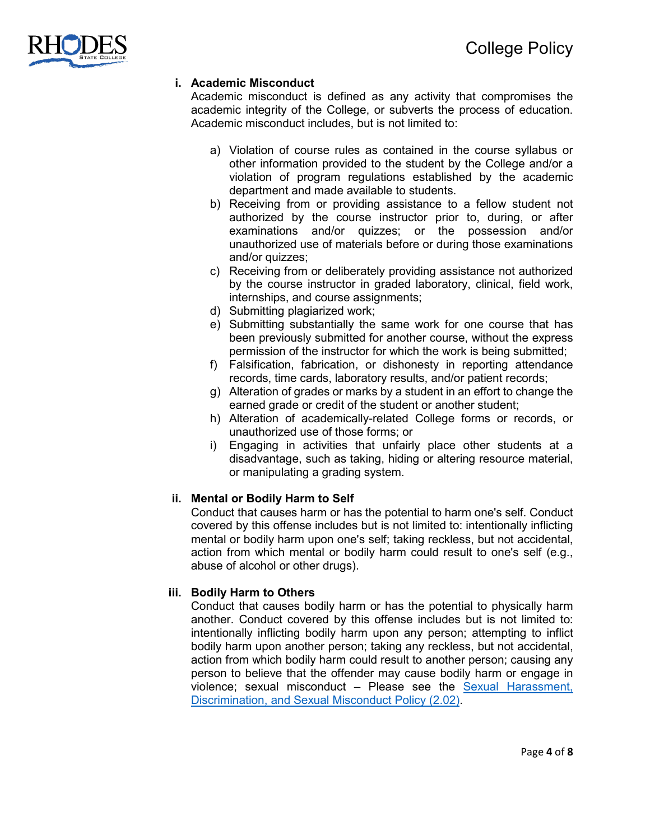

## **i. Academic Misconduct**

Academic misconduct is defined as any activity that compromises the academic integrity of the College, or subverts the process of education. Academic misconduct includes, but is not limited to:

- a) Violation of course rules as contained in the course syllabus or other information provided to the student by the College and/or a violation of program regulations established by the academic department and made available to students.
- b) Receiving from or providing assistance to a fellow student not authorized by the course instructor prior to, during, or after examinations and/or quizzes; or the possession and/or unauthorized use of materials before or during those examinations and/or quizzes;
- c) Receiving from or deliberately providing assistance not authorized by the course instructor in graded laboratory, clinical, field work, internships, and course assignments;
- d) Submitting plagiarized work;
- e) Submitting substantially the same work for one course that has been previously submitted for another course, without the express permission of the instructor for which the work is being submitted;
- f) Falsification, fabrication, or dishonesty in reporting attendance records, time cards, laboratory results, and/or patient records;
- g) Alteration of grades or marks by a student in an effort to change the earned grade or credit of the student or another student;
- h) Alteration of academically-related College forms or records, or unauthorized use of those forms; or
- i) Engaging in activities that unfairly place other students at a disadvantage, such as taking, hiding or altering resource material, or manipulating a grading system.

## **ii. Mental or Bodily Harm to Self**

Conduct that causes harm or has the potential to harm one's self. Conduct covered by this offense includes but is not limited to: intentionally inflicting mental or bodily harm upon one's self; taking reckless, but not accidental, action from which mental or bodily harm could result to one's self (e.g., abuse of alcohol or other drugs).

## **iii. Bodily Harm to Others**

Conduct that causes bodily harm or has the potential to physically harm another. Conduct covered by this offense includes but is not limited to: intentionally inflicting bodily harm upon any person; attempting to inflict bodily harm upon another person; taking any reckless, but not accidental, action from which bodily harm could result to another person; causing any person to believe that the offender may cause bodily harm or engage in violence; sexual misconduct – Please see the [Sexual Harassment,](https://www.rhodesstate.edu/_files/documents/policies-and-procedures/sexual-harassment,-discrimination-and-sexual-misconduct-policy.pdf)  [Discrimination, and Sexual Misconduct Policy \(2.02\).](https://www.rhodesstate.edu/_files/documents/policies-and-procedures/sexual-harassment,-discrimination-and-sexual-misconduct-policy.pdf)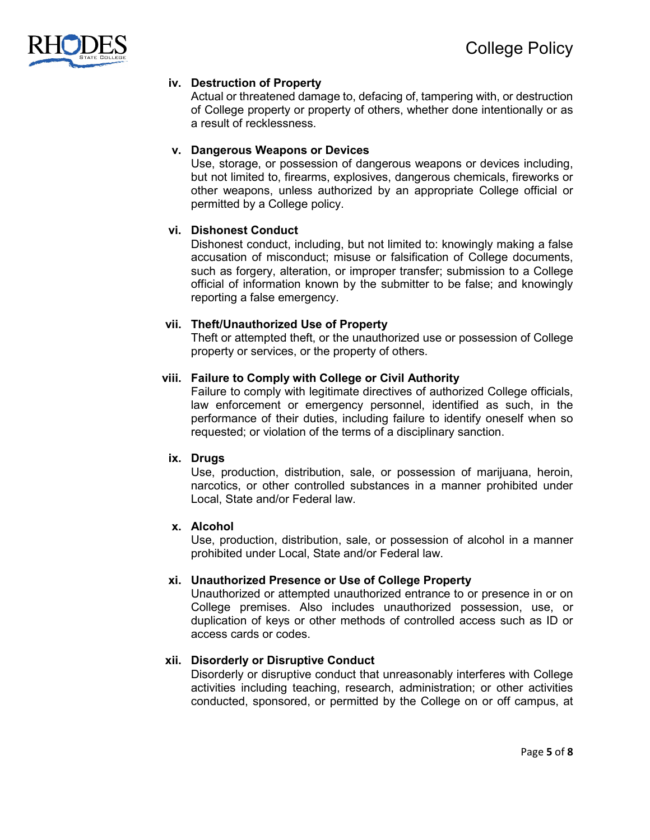

## **iv. Destruction of Property**

Actual or threatened damage to, defacing of, tampering with, or destruction of College property or property of others, whether done intentionally or as a result of recklessness.

## **v. Dangerous Weapons or Devices**

Use, storage, or possession of dangerous weapons or devices including, but not limited to, firearms, explosives, dangerous chemicals, fireworks or other weapons, unless authorized by an appropriate College official or permitted by a College policy.

## **vi. Dishonest Conduct**

Dishonest conduct, including, but not limited to: knowingly making a false accusation of misconduct; misuse or falsification of College documents, such as forgery, alteration, or improper transfer; submission to a College official of information known by the submitter to be false; and knowingly reporting a false emergency.

#### **vii. Theft/Unauthorized Use of Property**

Theft or attempted theft, or the unauthorized use or possession of College property or services, or the property of others.

#### **viii. Failure to Comply with College or Civil Authority**

Failure to comply with legitimate directives of authorized College officials, law enforcement or emergency personnel, identified as such, in the performance of their duties, including failure to identify oneself when so requested; or violation of the terms of a disciplinary sanction.

#### **ix. Drugs**

Use, production, distribution, sale, or possession of marijuana, heroin, narcotics, or other controlled substances in a manner prohibited under Local, State and/or Federal law.

### **x. Alcohol**

Use, production, distribution, sale, or possession of alcohol in a manner prohibited under Local, State and/or Federal law.

## **xi. Unauthorized Presence or Use of College Property**

Unauthorized or attempted unauthorized entrance to or presence in or on College premises. Also includes unauthorized possession, use, or duplication of keys or other methods of controlled access such as ID or access cards or codes.

## **xii. Disorderly or Disruptive Conduct**

Disorderly or disruptive conduct that unreasonably interferes with College activities including teaching, research, administration; or other activities conducted, sponsored, or permitted by the College on or off campus, at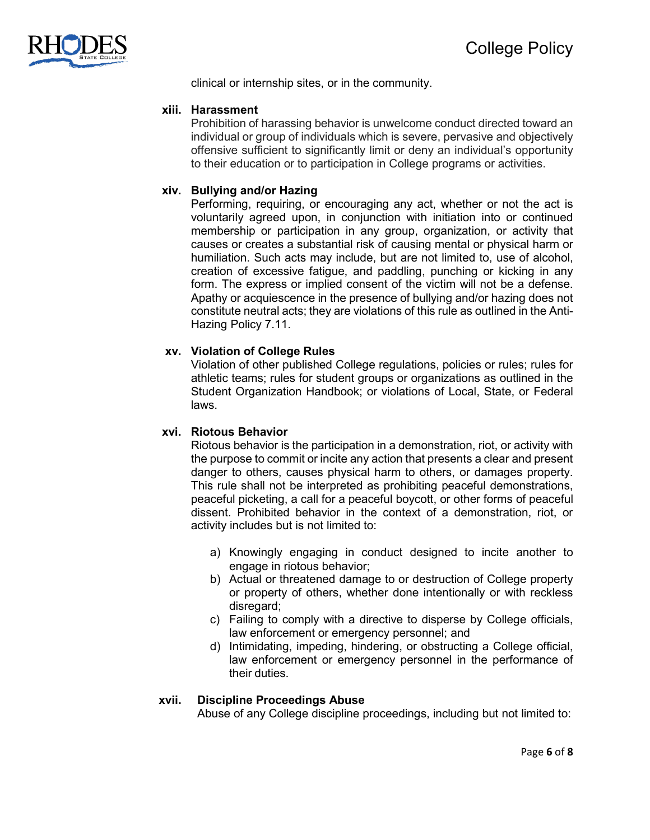

clinical or internship sites, or in the community.

### **xiii. Harassment**

Prohibition of harassing behavior is unwelcome conduct directed toward an individual or group of individuals which is severe, pervasive and objectively offensive sufficient to significantly limit or deny an individual's opportunity to their education or to participation in College programs or activities.

## **xiv. Bullying and/or Hazing**

Performing, requiring, or encouraging any act, whether or not the act is voluntarily agreed upon, in conjunction with initiation into or continued membership or participation in any group, organization, or activity that causes or creates a substantial risk of causing mental or physical harm or humiliation. Such acts may include, but are not limited to, use of alcohol, creation of excessive fatigue, and paddling, punching or kicking in any form. The express or implied consent of the victim will not be a defense. Apathy or acquiescence in the presence of bullying and/or hazing does not constitute neutral acts; they are violations of this rule as outlined in the Anti-Hazing Policy 7.11.

## **xv. Violation of College Rules**

Violation of other published College regulations, policies or rules; rules for athletic teams; rules for student groups or organizations as outlined in the Student Organization Handbook; or violations of Local, State, or Federal laws.

## **xvi. Riotous Behavior**

Riotous behavior is the participation in a demonstration, riot, or activity with the purpose to commit or incite any action that presents a clear and present danger to others, causes physical harm to others, or damages property. This rule shall not be interpreted as prohibiting peaceful demonstrations, peaceful picketing, a call for a peaceful boycott, or other forms of peaceful dissent. Prohibited behavior in the context of a demonstration, riot, or activity includes but is not limited to:

- a) Knowingly engaging in conduct designed to incite another to engage in riotous behavior;
- b) Actual or threatened damage to or destruction of College property or property of others, whether done intentionally or with reckless disregard;
- c) Failing to comply with a directive to disperse by College officials, law enforcement or emergency personnel; and
- d) Intimidating, impeding, hindering, or obstructing a College official, law enforcement or emergency personnel in the performance of their duties.

#### **xvii. Discipline Proceedings Abuse**

Abuse of any College discipline proceedings, including but not limited to: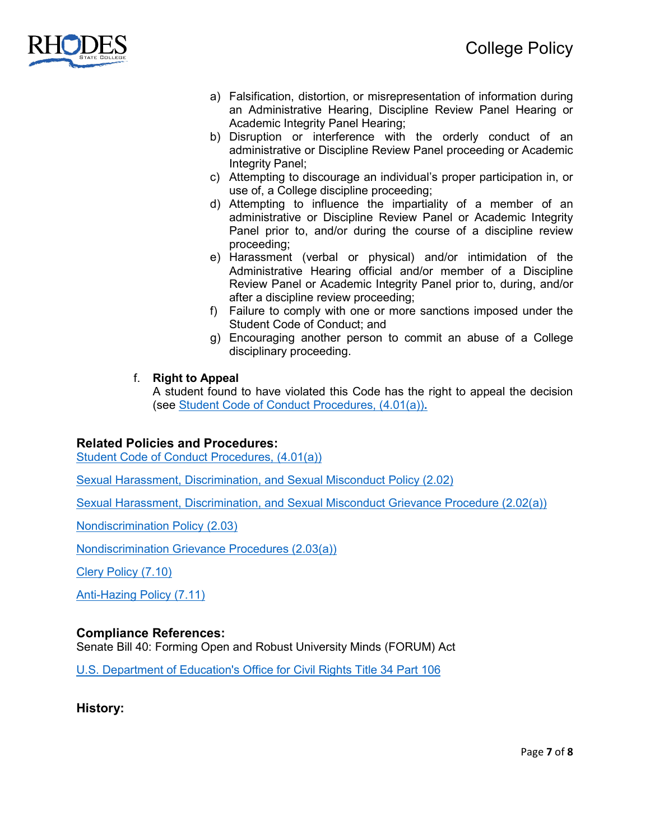

- a) Falsification, distortion, or misrepresentation of information during an Administrative Hearing, Discipline Review Panel Hearing or Academic Integrity Panel Hearing;
- b) Disruption or interference with the orderly conduct of an administrative or Discipline Review Panel proceeding or Academic Integrity Panel;
- c) Attempting to discourage an individual's proper participation in, or use of, a College discipline proceeding;
- d) Attempting to influence the impartiality of a member of an administrative or Discipline Review Panel or Academic Integrity Panel prior to, and/or during the course of a discipline review proceeding;
- e) Harassment (verbal or physical) and/or intimidation of the Administrative Hearing official and/or member of a Discipline Review Panel or Academic Integrity Panel prior to, during, and/or after a discipline review proceeding;
- f) Failure to comply with one or more sanctions imposed under the Student Code of Conduct; and
- g) Encouraging another person to commit an abuse of a College disciplinary proceeding.
- f. **Right to Appeal**

A student found to have violated this Code has the right to appeal the decision (see [Student Code of Conduct Procedures, \(4.01\(a\)\)](https://www.rhodesstate.edu/human-resources/student-code-of-conduct-procedure-4.01a-revised-3.16.21.pdf)**.**

## **Related Policies and Procedures:**

[Student Code of Conduct Procedures, \(4.01\(a\)\)](https://www.rhodesstate.edu/human-resources/student-code-of-conduct-procedure-4.01a-revised-3.16.21.pdf)

[Sexual Harassment, Discrimination, and Sexual Misconduct Policy \(2.02\)](https://www.rhodesstate.edu/_files/documents/policies-and-procedures/sexual-harassment,-discrimination-and-sexual-misconduct-policy.pdf)

[Sexual Harassment, Discrimination, and Sexual Misconduct Grievance Procedure \(2.02\(a\)\)](https://www.rhodesstate.edu/_files/documents/policies-and-procedures/sexual-harassment,-discrimination-and-sexual-misconduct-grievance-resolution-procedure.pdf)

[Nondiscrimination Policy \(2.03\)](https://www.rhodesstate.edu/_files/documents/policies-and-procedures/nondiscrimination-policy.pdf)

[Nondiscrimination Grievance Procedures](https://www.rhodesstate.edu/_files/documents/policies-and-procedures/nondiscrimination-grievance-procedure.pdf) (2.03(a))

[Clery Policy \(7.10\)](https://www.rhodesstate.edu/_files/documents/policies-and-procedures/clery-policy.pdf)

[Anti-Hazing Policy \(7.11\)](https://www.rhodesstate.edu/human-resources/anti-hazing-policy-7.11.pdf)

## **Compliance References:**

Senate Bill 40: Forming Open and Robust University Minds (FORUM) Act

[U.S. Department of Education's Office for Civil Rights](https://www2.ed.gov/policy/rights/reg/ocr/edlite-34cfr106.html) Title 34 Part 106

**History:**